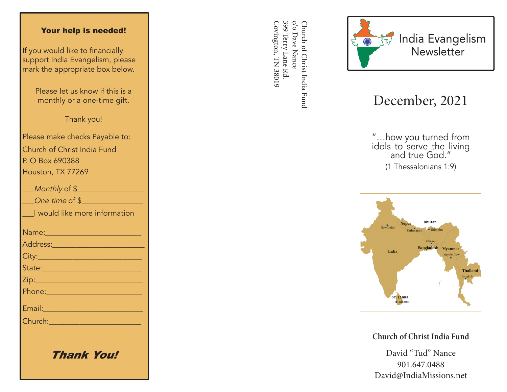#### Your help is needed!

If you would like to financially support India Evangelism, please mark the appropriate box below.

> Please let us know if this is a monthly or a one-time gift.

> > Thank you!

Please make checks Payable to: Church of Christ India Fund P. O Box 690388 Houston, TX 77269

| Monthly of \$                                                                                                        |
|----------------------------------------------------------------------------------------------------------------------|
| One time of \$                                                                                                       |
| I would like more information                                                                                        |
|                                                                                                                      |
|                                                                                                                      |
|                                                                                                                      |
| State: 2008 - 2008 - 2010 - 2010 - 2011 - 2012 - 2012 - 2012 - 2014 - 2012 - 2014 - 2014 - 2014 - 2014 - 2014        |
|                                                                                                                      |
| <u> Phone: 2008 - 2008 - 2008 - 2018 - 2018 - 2018 - 2018 - 2018 - 2018 - 2018 - 2018 - 2018 - 2018 - 2018 - 201</u> |
| Email: 2008 - 2008 - 2010 - 2010 - 2011 - 2012 - 2012 - 2012 - 2014 - 2014 - 2014 - 2014 - 2014 - 2014 - 2014        |
| Church: 2008                                                                                                         |
|                                                                                                                      |
|                                                                                                                      |

Thank You!

399 Terry Lane Rd c/o Dave Nance Covington, TN 38019 Covington, TN 38019 399 Terry Lane Rd. c/o Dave Nance Church of Christ India Fund Church of Christ India Fund



# December, 2021

"…how you turned from idols to serve the living and true God." (1 Thessalonians 1:9)



**Church of Christ India Fund**

David "Tud" Nance 901.647.0488 David@IndiaMissions.net